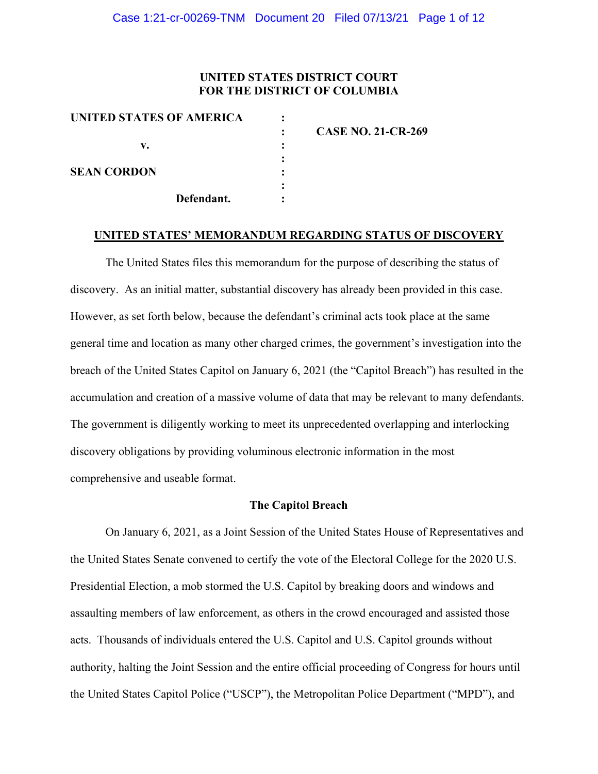# **UNITED STATES DISTRICT COURT FOR THE DISTRICT OF COLUMBIA**

| UNITED STATES OF AMERICA |            |                           |
|--------------------------|------------|---------------------------|
|                          |            | <b>CASE NO. 21-CR-269</b> |
| v.                       |            |                           |
| <b>SEAN CORDON</b>       |            |                           |
|                          |            |                           |
|                          | Defendant. |                           |

#### **UNITED STATES' MEMORANDUM REGARDING STATUS OF DISCOVERY**

The United States files this memorandum for the purpose of describing the status of discovery. As an initial matter, substantial discovery has already been provided in this case. However, as set forth below, because the defendant's criminal acts took place at the same general time and location as many other charged crimes, the government's investigation into the breach of the United States Capitol on January 6, 2021 (the "Capitol Breach") has resulted in the accumulation and creation of a massive volume of data that may be relevant to many defendants. The government is diligently working to meet its unprecedented overlapping and interlocking discovery obligations by providing voluminous electronic information in the most comprehensive and useable format.

# **The Capitol Breach**

On January 6, 2021, as a Joint Session of the United States House of Representatives and the United States Senate convened to certify the vote of the Electoral College for the 2020 U.S. Presidential Election, a mob stormed the U.S. Capitol by breaking doors and windows and assaulting members of law enforcement, as others in the crowd encouraged and assisted those acts. Thousands of individuals entered the U.S. Capitol and U.S. Capitol grounds without authority, halting the Joint Session and the entire official proceeding of Congress for hours until the United States Capitol Police ("USCP"), the Metropolitan Police Department ("MPD"), and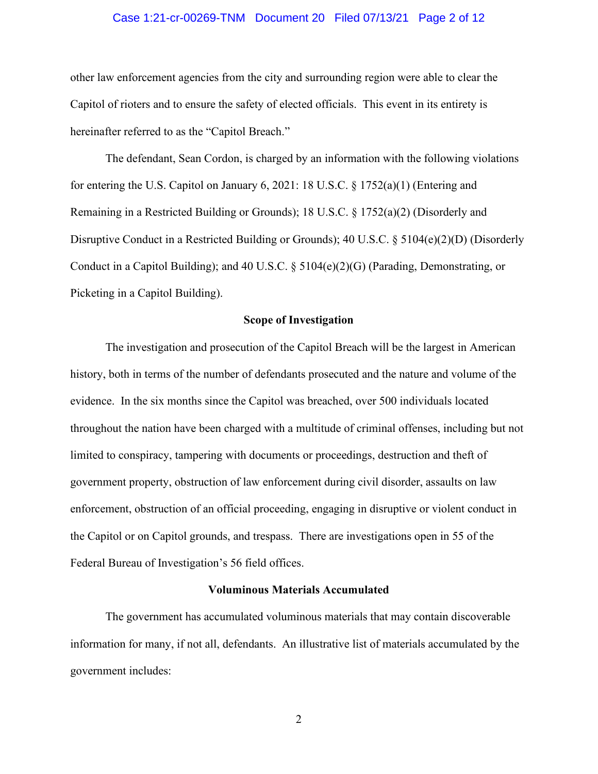# Case 1:21-cr-00269-TNM Document 20 Filed 07/13/21 Page 2 of 12

other law enforcement agencies from the city and surrounding region were able to clear the Capitol of rioters and to ensure the safety of elected officials. This event in its entirety is hereinafter referred to as the "Capitol Breach."

The defendant, Sean Cordon, is charged by an information with the following violations for entering the U.S. Capitol on January 6, 2021: 18 U.S.C. § 1752(a)(1) (Entering and Remaining in a Restricted Building or Grounds); 18 U.S.C. § 1752(a)(2) (Disorderly and Disruptive Conduct in a Restricted Building or Grounds); 40 U.S.C.  $\S$  5104(e)(2)(D) (Disorderly Conduct in a Capitol Building); and 40 U.S.C. § 5104(e)(2)(G) (Parading, Demonstrating, or Picketing in a Capitol Building).

#### **Scope of Investigation**

The investigation and prosecution of the Capitol Breach will be the largest in American history, both in terms of the number of defendants prosecuted and the nature and volume of the evidence. In the six months since the Capitol was breached, over 500 individuals located throughout the nation have been charged with a multitude of criminal offenses, including but not limited to conspiracy, tampering with documents or proceedings, destruction and theft of government property, obstruction of law enforcement during civil disorder, assaults on law enforcement, obstruction of an official proceeding, engaging in disruptive or violent conduct in the Capitol or on Capitol grounds, and trespass. There are investigations open in 55 of the Federal Bureau of Investigation's 56 field offices.

# **Voluminous Materials Accumulated**

The government has accumulated voluminous materials that may contain discoverable information for many, if not all, defendants. An illustrative list of materials accumulated by the government includes: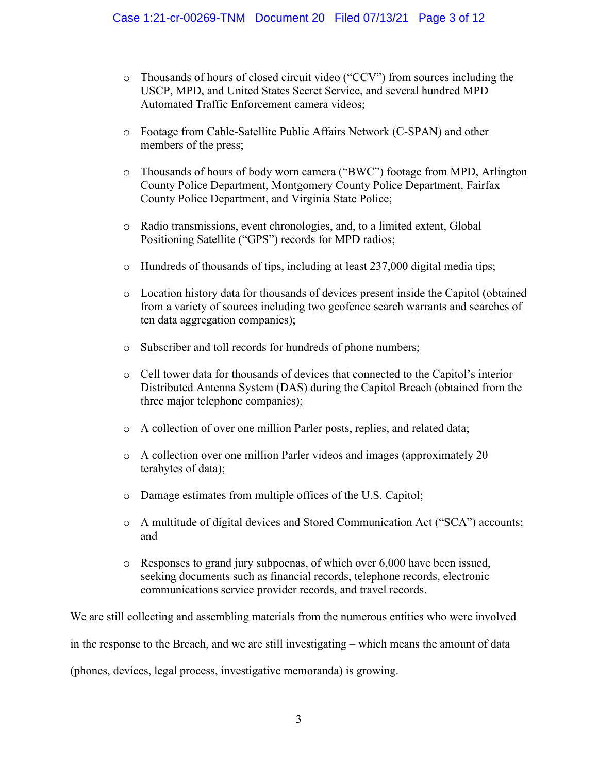- o Thousands of hours of closed circuit video ("CCV") from sources including the USCP, MPD, and United States Secret Service, and several hundred MPD Automated Traffic Enforcement camera videos;
- o Footage from Cable-Satellite Public Affairs Network (C-SPAN) and other members of the press;
- o Thousands of hours of body worn camera ("BWC") footage from MPD, Arlington County Police Department, Montgomery County Police Department, Fairfax County Police Department, and Virginia State Police;
- o Radio transmissions, event chronologies, and, to a limited extent, Global Positioning Satellite ("GPS") records for MPD radios;
- $\circ$  Hundreds of thousands of tips, including at least 237,000 digital media tips;
- o Location history data for thousands of devices present inside the Capitol (obtained from a variety of sources including two geofence search warrants and searches of ten data aggregation companies);
- o Subscriber and toll records for hundreds of phone numbers;
- o Cell tower data for thousands of devices that connected to the Capitol's interior Distributed Antenna System (DAS) during the Capitol Breach (obtained from the three major telephone companies);
- o A collection of over one million Parler posts, replies, and related data;
- o A collection over one million Parler videos and images (approximately 20 terabytes of data);
- o Damage estimates from multiple offices of the U.S. Capitol;
- o A multitude of digital devices and Stored Communication Act ("SCA") accounts; and
- o Responses to grand jury subpoenas, of which over 6,000 have been issued, seeking documents such as financial records, telephone records, electronic communications service provider records, and travel records.

We are still collecting and assembling materials from the numerous entities who were involved in the response to the Breach, and we are still investigating – which means the amount of data (phones, devices, legal process, investigative memoranda) is growing.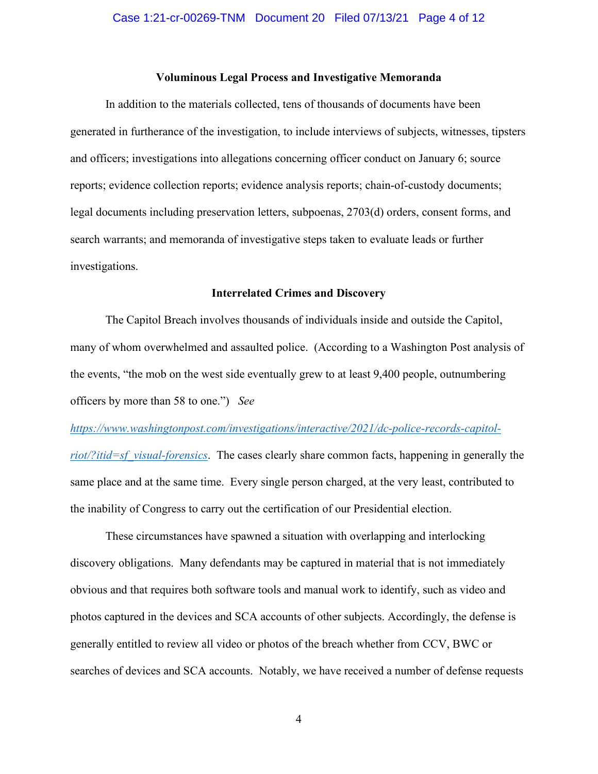# **Voluminous Legal Process and Investigative Memoranda**

In addition to the materials collected, tens of thousands of documents have been generated in furtherance of the investigation, to include interviews of subjects, witnesses, tipsters and officers; investigations into allegations concerning officer conduct on January 6; source reports; evidence collection reports; evidence analysis reports; chain-of-custody documents; legal documents including preservation letters, subpoenas, 2703(d) orders, consent forms, and search warrants; and memoranda of investigative steps taken to evaluate leads or further investigations.

#### **Interrelated Crimes and Discovery**

The Capitol Breach involves thousands of individuals inside and outside the Capitol, many of whom overwhelmed and assaulted police. (According to a Washington Post analysis of the events, "the mob on the west side eventually grew to at least 9,400 people, outnumbering officers by more than 58 to one.") *See* 

# *https://www.washingtonpost.com/investigations/interactive/2021/dc-police-records-capitol-*

*riot/?itid=sf\_visual-forensics*. The cases clearly share common facts, happening in generally the same place and at the same time. Every single person charged, at the very least, contributed to the inability of Congress to carry out the certification of our Presidential election.

These circumstances have spawned a situation with overlapping and interlocking discovery obligations. Many defendants may be captured in material that is not immediately obvious and that requires both software tools and manual work to identify, such as video and photos captured in the devices and SCA accounts of other subjects. Accordingly, the defense is generally entitled to review all video or photos of the breach whether from CCV, BWC or searches of devices and SCA accounts. Notably, we have received a number of defense requests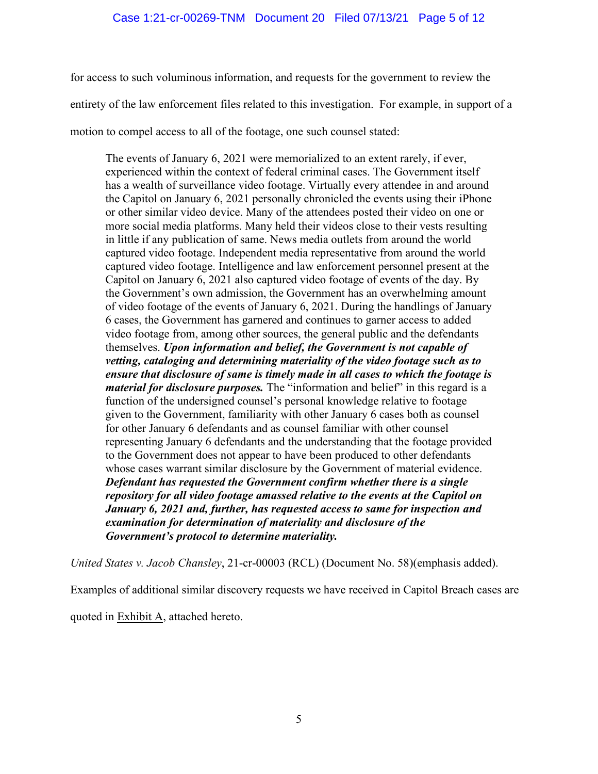for access to such voluminous information, and requests for the government to review the entirety of the law enforcement files related to this investigation. For example, in support of a motion to compel access to all of the footage, one such counsel stated:

The events of January 6, 2021 were memorialized to an extent rarely, if ever, experienced within the context of federal criminal cases. The Government itself has a wealth of surveillance video footage. Virtually every attendee in and around the Capitol on January 6, 2021 personally chronicled the events using their iPhone or other similar video device. Many of the attendees posted their video on one or more social media platforms. Many held their videos close to their vests resulting in little if any publication of same. News media outlets from around the world captured video footage. Independent media representative from around the world captured video footage. Intelligence and law enforcement personnel present at the Capitol on January 6, 2021 also captured video footage of events of the day. By the Government's own admission, the Government has an overwhelming amount of video footage of the events of January 6, 2021. During the handlings of January 6 cases, the Government has garnered and continues to garner access to added video footage from, among other sources, the general public and the defendants themselves. *Upon information and belief, the Government is not capable of vetting, cataloging and determining materiality of the video footage such as to ensure that disclosure of same is timely made in all cases to which the footage is material for disclosure purposes.* The "information and belief" in this regard is a function of the undersigned counsel's personal knowledge relative to footage given to the Government, familiarity with other January 6 cases both as counsel for other January 6 defendants and as counsel familiar with other counsel representing January 6 defendants and the understanding that the footage provided to the Government does not appear to have been produced to other defendants whose cases warrant similar disclosure by the Government of material evidence. *Defendant has requested the Government confirm whether there is a single repository for all video footage amassed relative to the events at the Capitol on January 6, 2021 and, further, has requested access to same for inspection and examination for determination of materiality and disclosure of the Government's protocol to determine materiality.*

*United States v. Jacob Chansley*, 21-cr-00003 (RCL) (Document No. 58)(emphasis added).

Examples of additional similar discovery requests we have received in Capitol Breach cases are

quoted in **Exhibit A**, attached hereto.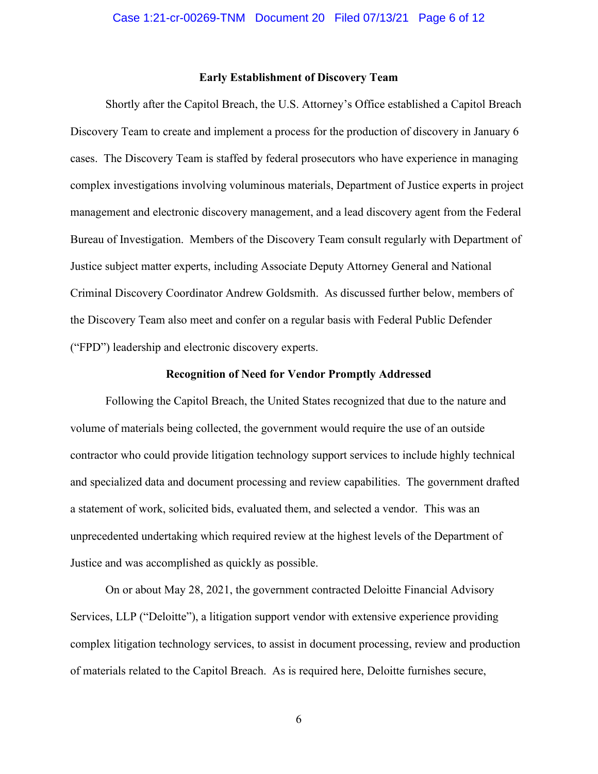#### **Early Establishment of Discovery Team**

Shortly after the Capitol Breach, the U.S. Attorney's Office established a Capitol Breach Discovery Team to create and implement a process for the production of discovery in January 6 cases. The Discovery Team is staffed by federal prosecutors who have experience in managing complex investigations involving voluminous materials, Department of Justice experts in project management and electronic discovery management, and a lead discovery agent from the Federal Bureau of Investigation. Members of the Discovery Team consult regularly with Department of Justice subject matter experts, including Associate Deputy Attorney General and National Criminal Discovery Coordinator Andrew Goldsmith. As discussed further below, members of the Discovery Team also meet and confer on a regular basis with Federal Public Defender ("FPD") leadership and electronic discovery experts.

### **Recognition of Need for Vendor Promptly Addressed**

Following the Capitol Breach, the United States recognized that due to the nature and volume of materials being collected, the government would require the use of an outside contractor who could provide litigation technology support services to include highly technical and specialized data and document processing and review capabilities. The government drafted a statement of work, solicited bids, evaluated them, and selected a vendor. This was an unprecedented undertaking which required review at the highest levels of the Department of Justice and was accomplished as quickly as possible.

On or about May 28, 2021, the government contracted Deloitte Financial Advisory Services, LLP ("Deloitte"), a litigation support vendor with extensive experience providing complex litigation technology services, to assist in document processing, review and production of materials related to the Capitol Breach. As is required here, Deloitte furnishes secure,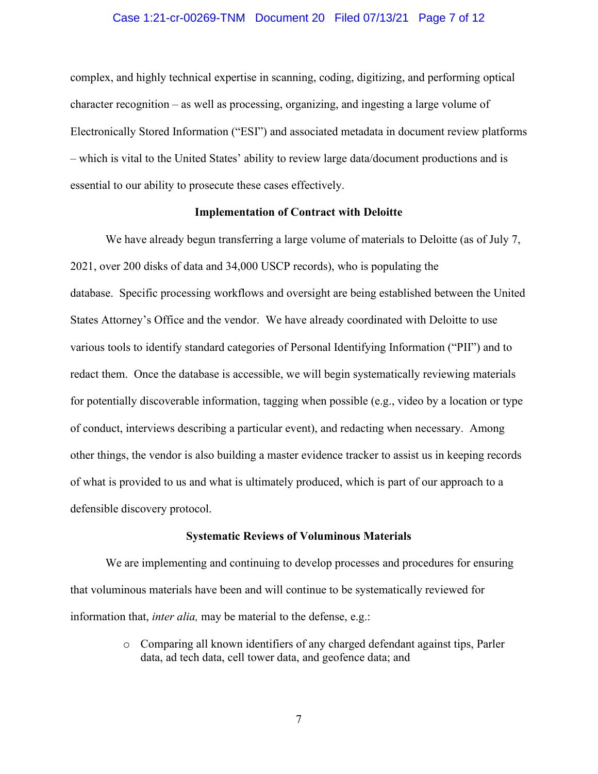## Case 1:21-cr-00269-TNM Document 20 Filed 07/13/21 Page 7 of 12

complex, and highly technical expertise in scanning, coding, digitizing, and performing optical character recognition – as well as processing, organizing, and ingesting a large volume of Electronically Stored Information ("ESI") and associated metadata in document review platforms – which is vital to the United States' ability to review large data/document productions and is essential to our ability to prosecute these cases effectively.

## **Implementation of Contract with Deloitte**

We have already begun transferring a large volume of materials to Deloitte (as of July 7, 2021, over 200 disks of data and 34,000 USCP records), who is populating the database. Specific processing workflows and oversight are being established between the United States Attorney's Office and the vendor. We have already coordinated with Deloitte to use various tools to identify standard categories of Personal Identifying Information ("PII") and to redact them. Once the database is accessible, we will begin systematically reviewing materials for potentially discoverable information, tagging when possible (e.g., video by a location or type of conduct, interviews describing a particular event), and redacting when necessary. Among other things, the vendor is also building a master evidence tracker to assist us in keeping records of what is provided to us and what is ultimately produced, which is part of our approach to a defensible discovery protocol.

#### **Systematic Reviews of Voluminous Materials**

We are implementing and continuing to develop processes and procedures for ensuring that voluminous materials have been and will continue to be systematically reviewed for information that, *inter alia,* may be material to the defense, e.g.:

> o Comparing all known identifiers of any charged defendant against tips, Parler data, ad tech data, cell tower data, and geofence data; and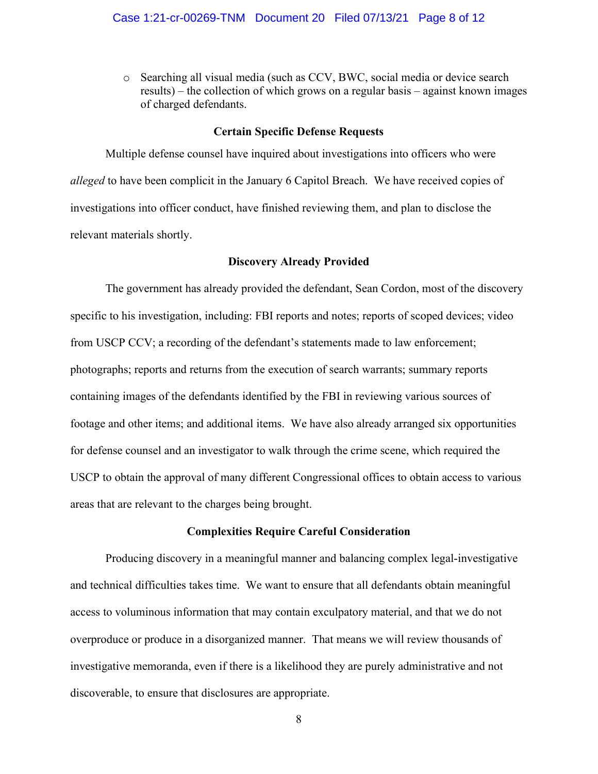o Searching all visual media (such as CCV, BWC, social media or device search results) – the collection of which grows on a regular basis – against known images of charged defendants.

#### **Certain Specific Defense Requests**

Multiple defense counsel have inquired about investigations into officers who were *alleged* to have been complicit in the January 6 Capitol Breach. We have received copies of investigations into officer conduct, have finished reviewing them, and plan to disclose the relevant materials shortly.

#### **Discovery Already Provided**

The government has already provided the defendant, Sean Cordon, most of the discovery specific to his investigation, including: FBI reports and notes; reports of scoped devices; video from USCP CCV; a recording of the defendant's statements made to law enforcement; photographs; reports and returns from the execution of search warrants; summary reports containing images of the defendants identified by the FBI in reviewing various sources of footage and other items; and additional items. We have also already arranged six opportunities for defense counsel and an investigator to walk through the crime scene, which required the USCP to obtain the approval of many different Congressional offices to obtain access to various areas that are relevant to the charges being brought.

# **Complexities Require Careful Consideration**

Producing discovery in a meaningful manner and balancing complex legal-investigative and technical difficulties takes time. We want to ensure that all defendants obtain meaningful access to voluminous information that may contain exculpatory material, and that we do not overproduce or produce in a disorganized manner. That means we will review thousands of investigative memoranda, even if there is a likelihood they are purely administrative and not discoverable, to ensure that disclosures are appropriate.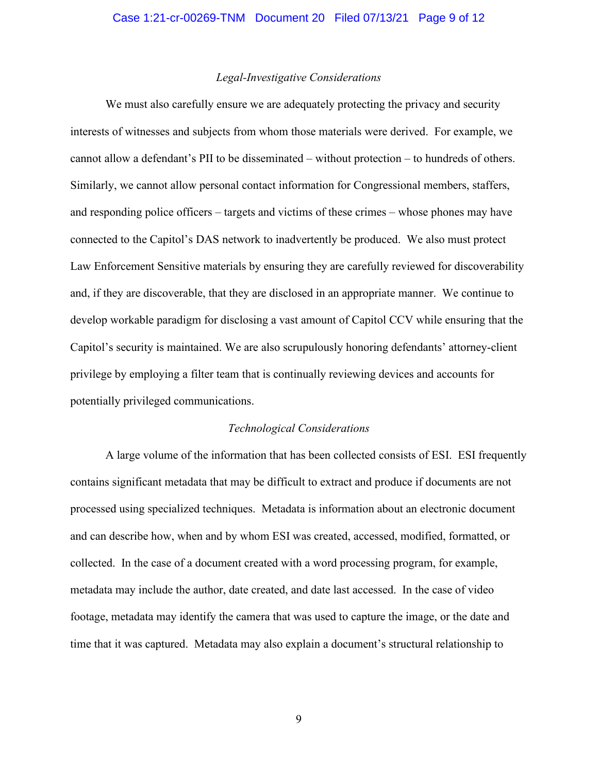# *Legal-Investigative Considerations*

We must also carefully ensure we are adequately protecting the privacy and security interests of witnesses and subjects from whom those materials were derived. For example, we cannot allow a defendant's PII to be disseminated – without protection – to hundreds of others. Similarly, we cannot allow personal contact information for Congressional members, staffers, and responding police officers – targets and victims of these crimes – whose phones may have connected to the Capitol's DAS network to inadvertently be produced. We also must protect Law Enforcement Sensitive materials by ensuring they are carefully reviewed for discoverability and, if they are discoverable, that they are disclosed in an appropriate manner. We continue to develop workable paradigm for disclosing a vast amount of Capitol CCV while ensuring that the Capitol's security is maintained. We are also scrupulously honoring defendants' attorney-client privilege by employing a filter team that is continually reviewing devices and accounts for potentially privileged communications.

#### *Technological Considerations*

A large volume of the information that has been collected consists of ESI. ESI frequently contains significant metadata that may be difficult to extract and produce if documents are not processed using specialized techniques. Metadata is information about an electronic document and can describe how, when and by whom ESI was created, accessed, modified, formatted, or collected. In the case of a document created with a word processing program, for example, metadata may include the author, date created, and date last accessed. In the case of video footage, metadata may identify the camera that was used to capture the image, or the date and time that it was captured. Metadata may also explain a document's structural relationship to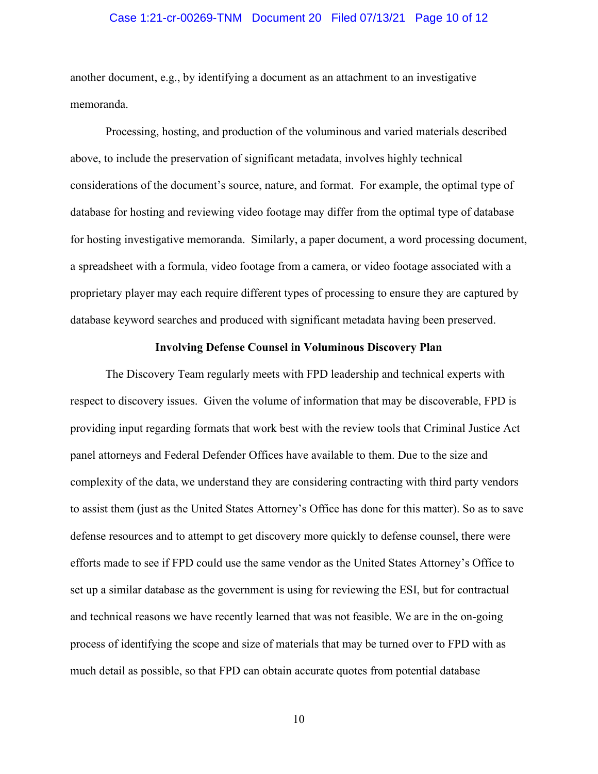# Case 1:21-cr-00269-TNM Document 20 Filed 07/13/21 Page 10 of 12

another document, e.g., by identifying a document as an attachment to an investigative memoranda.

Processing, hosting, and production of the voluminous and varied materials described above, to include the preservation of significant metadata, involves highly technical considerations of the document's source, nature, and format. For example, the optimal type of database for hosting and reviewing video footage may differ from the optimal type of database for hosting investigative memoranda. Similarly, a paper document, a word processing document, a spreadsheet with a formula, video footage from a camera, or video footage associated with a proprietary player may each require different types of processing to ensure they are captured by database keyword searches and produced with significant metadata having been preserved.

# **Involving Defense Counsel in Voluminous Discovery Plan**

The Discovery Team regularly meets with FPD leadership and technical experts with respect to discovery issues. Given the volume of information that may be discoverable, FPD is providing input regarding formats that work best with the review tools that Criminal Justice Act panel attorneys and Federal Defender Offices have available to them. Due to the size and complexity of the data, we understand they are considering contracting with third party vendors to assist them (just as the United States Attorney's Office has done for this matter). So as to save defense resources and to attempt to get discovery more quickly to defense counsel, there were efforts made to see if FPD could use the same vendor as the United States Attorney's Office to set up a similar database as the government is using for reviewing the ESI, but for contractual and technical reasons we have recently learned that was not feasible. We are in the on-going process of identifying the scope and size of materials that may be turned over to FPD with as much detail as possible, so that FPD can obtain accurate quotes from potential database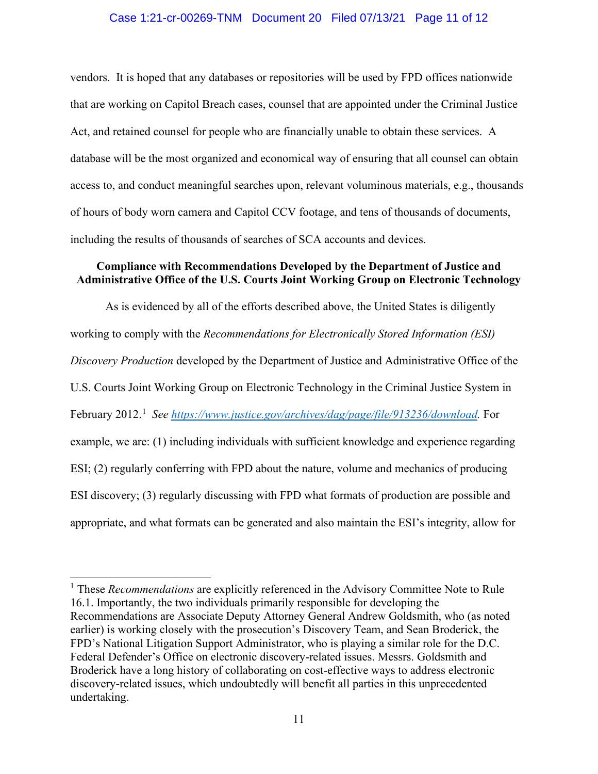# Case 1:21-cr-00269-TNM Document 20 Filed 07/13/21 Page 11 of 12

vendors. It is hoped that any databases or repositories will be used by FPD offices nationwide that are working on Capitol Breach cases, counsel that are appointed under the Criminal Justice Act, and retained counsel for people who are financially unable to obtain these services. A database will be the most organized and economical way of ensuring that all counsel can obtain access to, and conduct meaningful searches upon, relevant voluminous materials, e.g., thousands of hours of body worn camera and Capitol CCV footage, and tens of thousands of documents, including the results of thousands of searches of SCA accounts and devices.

# **Compliance with Recommendations Developed by the Department of Justice and Administrative Office of the U.S. Courts Joint Working Group on Electronic Technology**

As is evidenced by all of the efforts described above, the United States is diligently working to comply with the *Recommendations for Electronically Stored Information (ESI) Discovery Production* developed by the Department of Justice and Administrative Office of the U.S. Courts Joint Working Group on Electronic Technology in the Criminal Justice System in February 2012.<sup>1</sup> See https://www.justice.gov/archives/dag/page/file/913236/download. For example, we are: (1) including individuals with sufficient knowledge and experience regarding ESI; (2) regularly conferring with FPD about the nature, volume and mechanics of producing ESI discovery; (3) regularly discussing with FPD what formats of production are possible and appropriate, and what formats can be generated and also maintain the ESI's integrity, allow for

<sup>&</sup>lt;sup>1</sup> These *Recommendations* are explicitly referenced in the Advisory Committee Note to Rule 16.1. Importantly, the two individuals primarily responsible for developing the Recommendations are Associate Deputy Attorney General Andrew Goldsmith, who (as noted earlier) is working closely with the prosecution's Discovery Team, and Sean Broderick, the FPD's National Litigation Support Administrator, who is playing a similar role for the D.C. Federal Defender's Office on electronic discovery-related issues. Messrs. Goldsmith and Broderick have a long history of collaborating on cost-effective ways to address electronic discovery-related issues, which undoubtedly will benefit all parties in this unprecedented undertaking.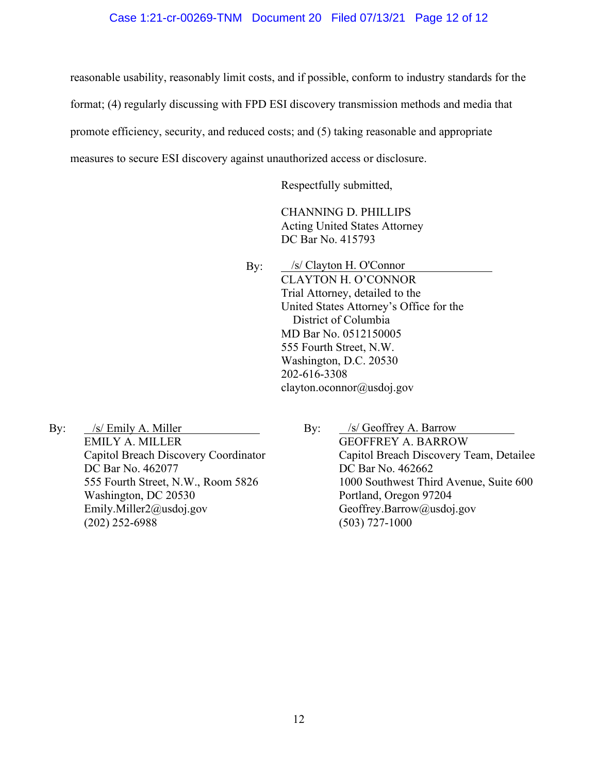# Case 1:21-cr-00269-TNM Document 20 Filed 07/13/21 Page 12 of 12

reasonable usability, reasonably limit costs, and if possible, conform to industry standards for the

format; (4) regularly discussing with FPD ESI discovery transmission methods and media that

promote efficiency, security, and reduced costs; and (5) taking reasonable and appropriate

measures to secure ESI discovery against unauthorized access or disclosure.

Respectfully submitted,

CHANNING D. PHILLIPS Acting United States Attorney DC Bar No. 415793

By: CLAYTON H. O'CONNOR Trial Attorney, detailed to the United States Attorney's Office for the District of Columbia MD Bar No. 0512150005 555 Fourth Street, N.W. Washington, D.C. 20530 202-616-3308 clayton.oconnor@usdoj.gov /s/ Clayton H. O'Connor

By: EMILY A. MILLER Capitol Breach Discovery Coordinator DC Bar No. 462077 555 Fourth Street, N.W., Room 5826 Washington, DC 20530 Emily.Miller2@usdoj.gov (202) 252-6988 /s/ Emily A. Miller /s/ Geoffrey A. Barrow

By: GEOFFREY A. BARROW Capitol Breach Discovery Team, Detailee DC Bar No. 462662 1000 Southwest Third Avenue, Suite 600 Portland, Oregon 97204 Geoffrey.Barrow@usdoj.gov (503) 727-1000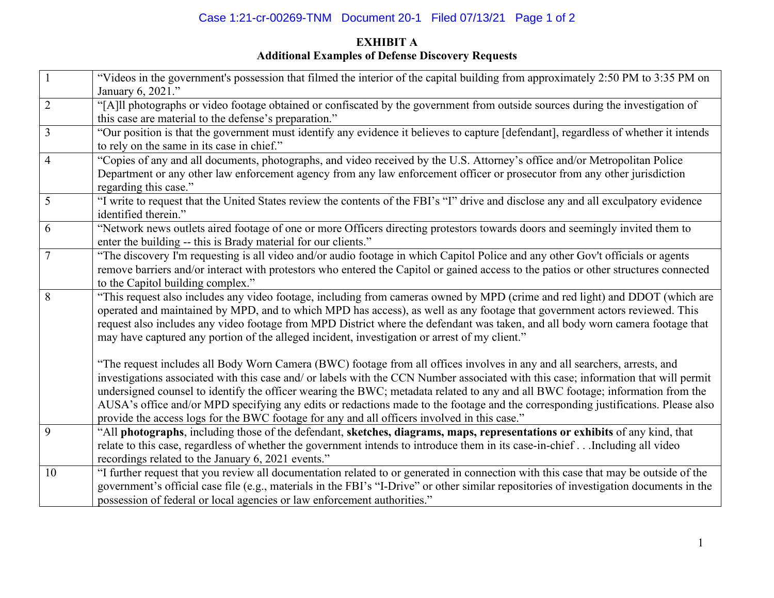# Case 1:21-cr-00269-TNM Document 20-1 Filed 07/13/21 Page 1 of 2

# **EXHIBIT A Additional Examples of Defense Discovery Requests**

|                | "Videos in the government's possession that filmed the interior of the capital building from approximately 2:50 PM to 3:35 PM on                                                        |
|----------------|-----------------------------------------------------------------------------------------------------------------------------------------------------------------------------------------|
|                | January 6, 2021."                                                                                                                                                                       |
| $\overline{2}$ | "[A]ll photographs or video footage obtained or confiscated by the government from outside sources during the investigation of<br>this case are material to the defense's preparation." |
| 3              | "Our position is that the government must identify any evidence it believes to capture [defendant], regardless of whether it intends                                                    |
|                | to rely on the same in its case in chief."                                                                                                                                              |
| $\overline{4}$ | "Copies of any and all documents, photographs, and video received by the U.S. Attorney's office and/or Metropolitan Police                                                              |
|                | Department or any other law enforcement agency from any law enforcement officer or prosecutor from any other jurisdiction                                                               |
|                | regarding this case."                                                                                                                                                                   |
| 5              | "I write to request that the United States review the contents of the FBI's "I" drive and disclose any and all exculpatory evidence                                                     |
|                | identified therein."                                                                                                                                                                    |
| 6              | "Network news outlets aired footage of one or more Officers directing protestors towards doors and seemingly invited them to                                                            |
|                | enter the building -- this is Brady material for our clients."                                                                                                                          |
| 7              | "The discovery I'm requesting is all video and/or audio footage in which Capitol Police and any other Gov't officials or agents                                                         |
|                | remove barriers and/or interact with protestors who entered the Capitol or gained access to the patios or other structures connected                                                    |
|                | to the Capitol building complex."                                                                                                                                                       |
| 8              | "This request also includes any video footage, including from cameras owned by MPD (crime and red light) and DDOT (which are                                                            |
|                | operated and maintained by MPD, and to which MPD has access), as well as any footage that government actors reviewed. This                                                              |
|                | request also includes any video footage from MPD District where the defendant was taken, and all body worn camera footage that                                                          |
|                | may have captured any portion of the alleged incident, investigation or arrest of my client."                                                                                           |
|                |                                                                                                                                                                                         |
|                | "The request includes all Body Worn Camera (BWC) footage from all offices involves in any and all searchers, arrests, and                                                               |
|                | investigations associated with this case and/ or labels with the CCN Number associated with this case; information that will permit                                                     |
|                | undersigned counsel to identify the officer wearing the BWC; metadata related to any and all BWC footage; information from the                                                          |
|                | AUSA's office and/or MPD specifying any edits or redactions made to the footage and the corresponding justifications. Please also                                                       |
|                | provide the access logs for the BWC footage for any and all officers involved in this case."                                                                                            |
| 9              | "All photographs, including those of the defendant, sketches, diagrams, maps, representations or exhibits of any kind, that                                                             |
|                | relate to this case, regardless of whether the government intends to introduce them in its case-in-chiefIncluding all video                                                             |
|                | recordings related to the January 6, 2021 events."                                                                                                                                      |
| 10             | "I further request that you review all documentation related to or generated in connection with this case that may be outside of the                                                    |
|                | government's official case file (e.g., materials in the FBI's "I-Drive" or other similar repositories of investigation documents in the                                                 |
|                | possession of federal or local agencies or law enforcement authorities."                                                                                                                |